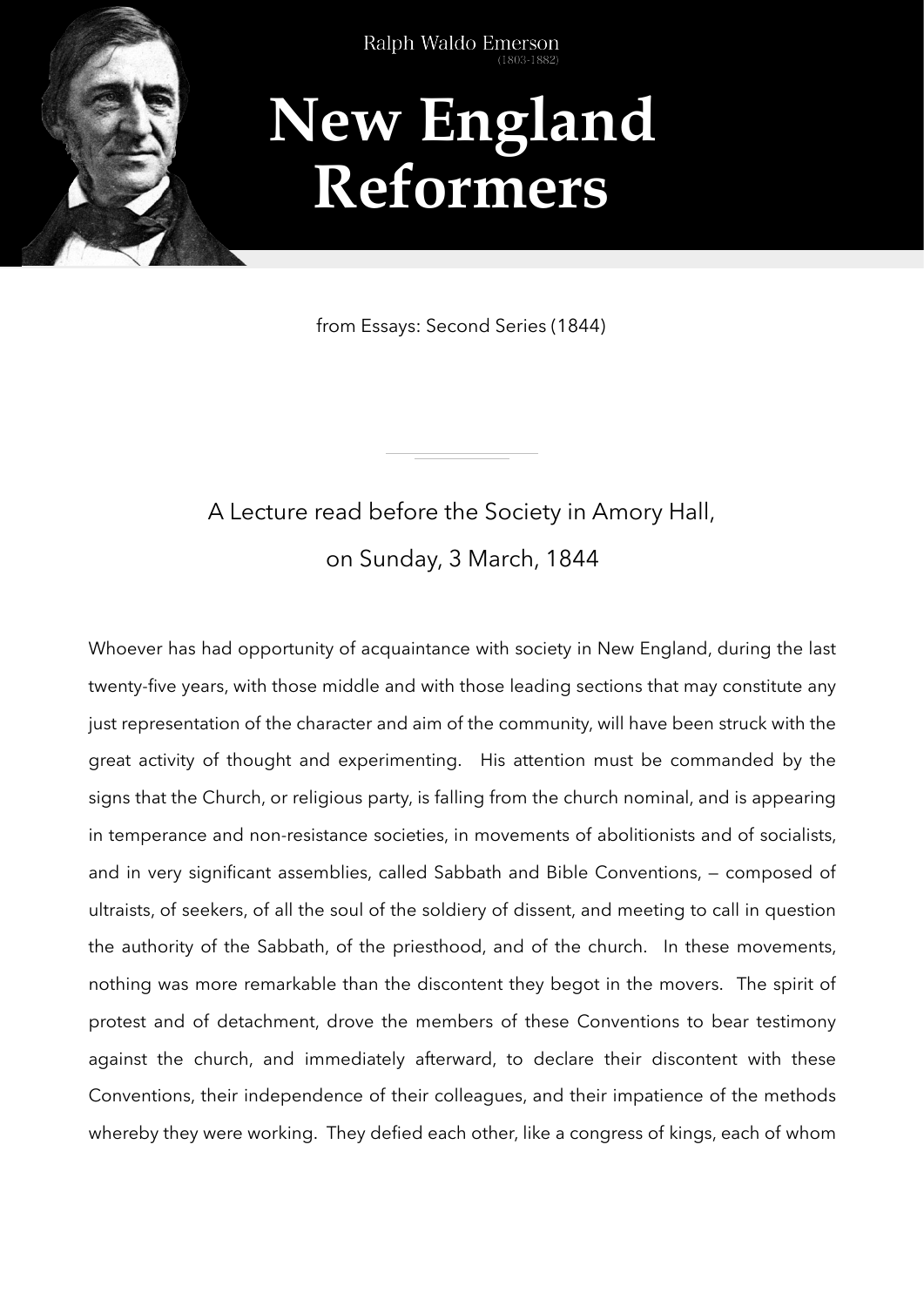

Ralph Waldo Emerson

## **New England Reformers**

from Essays: Second Series (1844)

## A Lecture read before the Society in Amory Hall, on Sunday, 3 March, 1844

Whoever has had opportunity of acquaintance with society in New England, during the last twenty-five years, with those middle and with those leading sections that may constitute any just representation of the character and aim of the community, will have been struck with the great activity of thought and experimenting. His attention must be commanded by the signs that the Church, or religious party, is falling from the church nominal, and is appearing in temperance and non-resistance societies, in movements of abolitionists and of socialists, and in very significant assemblies, called Sabbath and Bible Conventions, — composed of ultraists, of seekers, of all the soul of the soldiery of dissent, and meeting to call in question the authority of the Sabbath, of the priesthood, and of the church. In these movements, nothing was more remarkable than the discontent they begot in the movers. The spirit of protest and of detachment, drove the members of these Conventions to bear testimony against the church, and immediately afterward, to declare their discontent with these Conventions, their independence of their colleagues, and their impatience of the methods whereby they were working. They defied each other, like a congress of kings, each of whom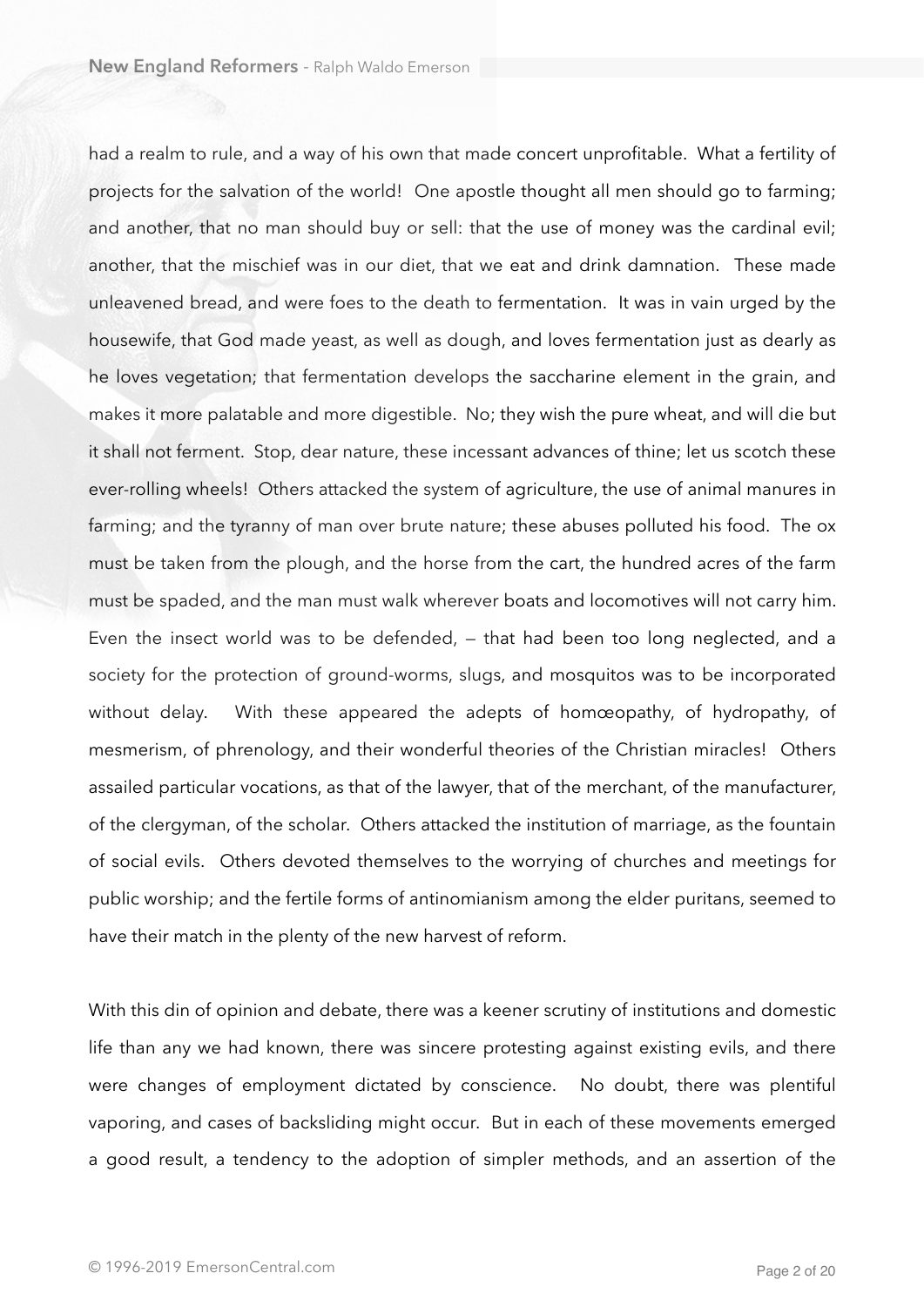had a realm to rule, and a way of his own that made concert unprofitable. What a fertility of projects for the salvation of the world! One apostle thought all men should go to farming; and another, that no man should buy or sell: that the use of money was the cardinal evil; another, that the mischief was in our diet, that we eat and drink damnation. These made unleavened bread, and were foes to the death to fermentation. It was in vain urged by the housewife, that God made yeast, as well as dough, and loves fermentation just as dearly as he loves vegetation; that fermentation develops the saccharine element in the grain, and makes it more palatable and more digestible. No; they wish the pure wheat, and will die but it shall not ferment. Stop, dear nature, these incessant advances of thine; let us scotch these ever-rolling wheels! Others attacked the system of agriculture, the use of animal manures in farming; and the tyranny of man over brute nature; these abuses polluted his food. The ox must be taken from the plough, and the horse from the cart, the hundred acres of the farm must be spaded, and the man must walk wherever boats and locomotives will not carry him. Even the insect world was to be defended, — that had been too long neglected, and a society for the protection of ground-worms, slugs, and mosquitos was to be incorporated without delay. With these appeared the adepts of homœopathy, of hydropathy, of mesmerism, of phrenology, and their wonderful theories of the Christian miracles! Others assailed particular vocations, as that of the lawyer, that of the merchant, of the manufacturer, of the clergyman, of the scholar. Others attacked the institution of marriage, as the fountain of social evils. Others devoted themselves to the worrying of churches and meetings for public worship; and the fertile forms of antinomianism among the elder puritans, seemed to have their match in the plenty of the new harvest of reform.

With this din of opinion and debate, there was a keener scrutiny of institutions and domestic life than any we had known, there was sincere protesting against existing evils, and there were changes of employment dictated by conscience. No doubt, there was plentiful vaporing, and cases of backsliding might occur. But in each of these movements emerged a good result, a tendency to the adoption of simpler methods, and an assertion of the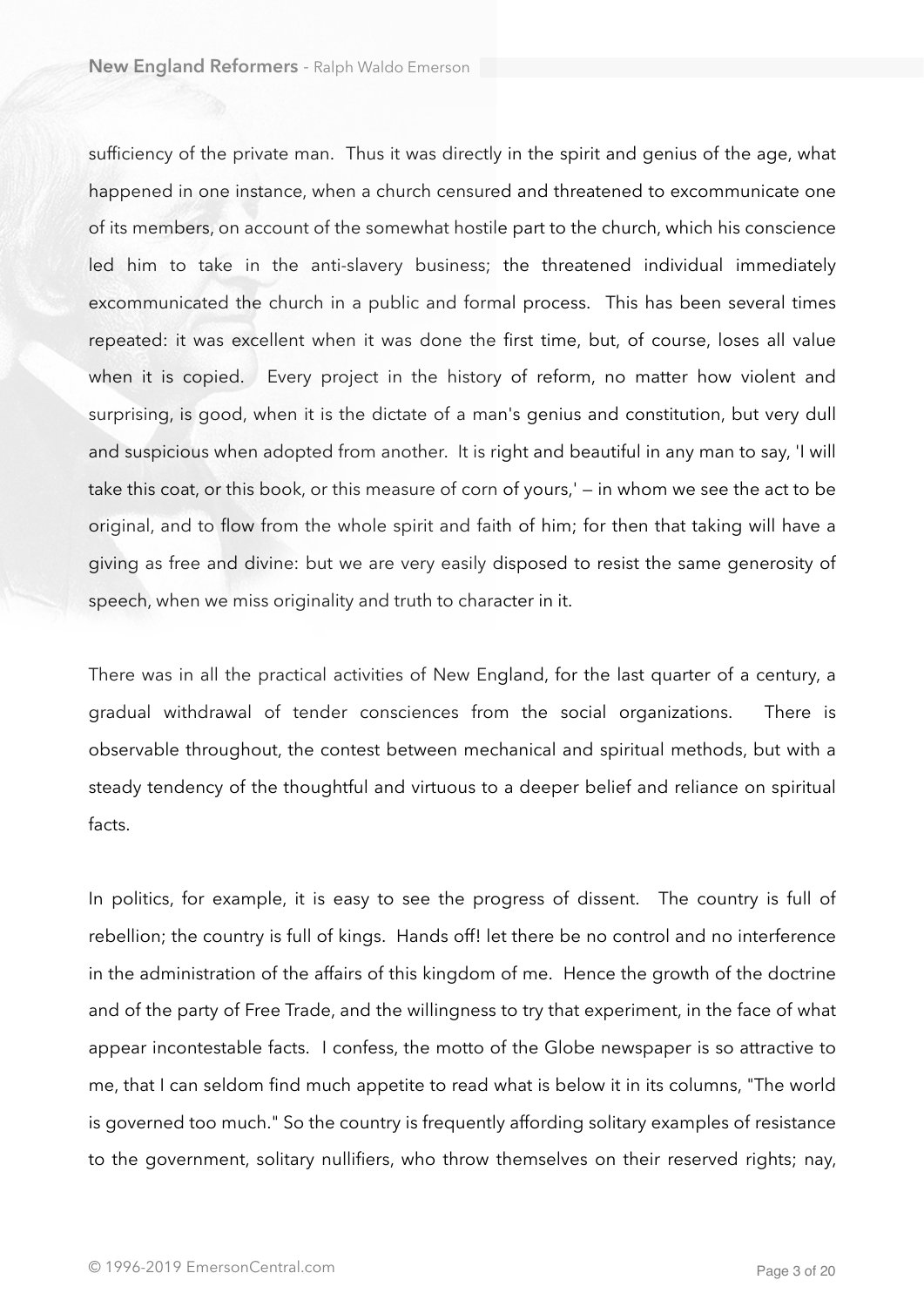sufficiency of the private man. Thus it was directly in the spirit and genius of the age, what happened in one instance, when a church censured and threatened to excommunicate one of its members, on account of the somewhat hostile part to the church, which his conscience led him to take in the anti-slavery business; the threatened individual immediately excommunicated the church in a public and formal process. This has been several times repeated: it was excellent when it was done the first time, but, of course, loses all value when it is copied. Every project in the history of reform, no matter how violent and surprising, is good, when it is the dictate of a man's genius and constitution, but very dull and suspicious when adopted from another. It is right and beautiful in any man to say, 'I will take this coat, or this book, or this measure of corn of yours,' — in whom we see the act to be original, and to flow from the whole spirit and faith of him; for then that taking will have a giving as free and divine: but we are very easily disposed to resist the same generosity of speech, when we miss originality and truth to character in it.

There was in all the practical activities of New England, for the last quarter of a century, a gradual withdrawal of tender consciences from the social organizations. There is observable throughout, the contest between mechanical and spiritual methods, but with a steady tendency of the thoughtful and virtuous to a deeper belief and reliance on spiritual facts.

In politics, for example, it is easy to see the progress of dissent. The country is full of rebellion; the country is full of kings. Hands off! let there be no control and no interference in the administration of the affairs of this kingdom of me. Hence the growth of the doctrine and of the party of Free Trade, and the willingness to try that experiment, in the face of what appear incontestable facts. I confess, the motto of the Globe newspaper is so attractive to me, that I can seldom find much appetite to read what is below it in its columns, "The world is governed too much." So the country is frequently affording solitary examples of resistance to the government, solitary nullifiers, who throw themselves on their reserved rights; nay,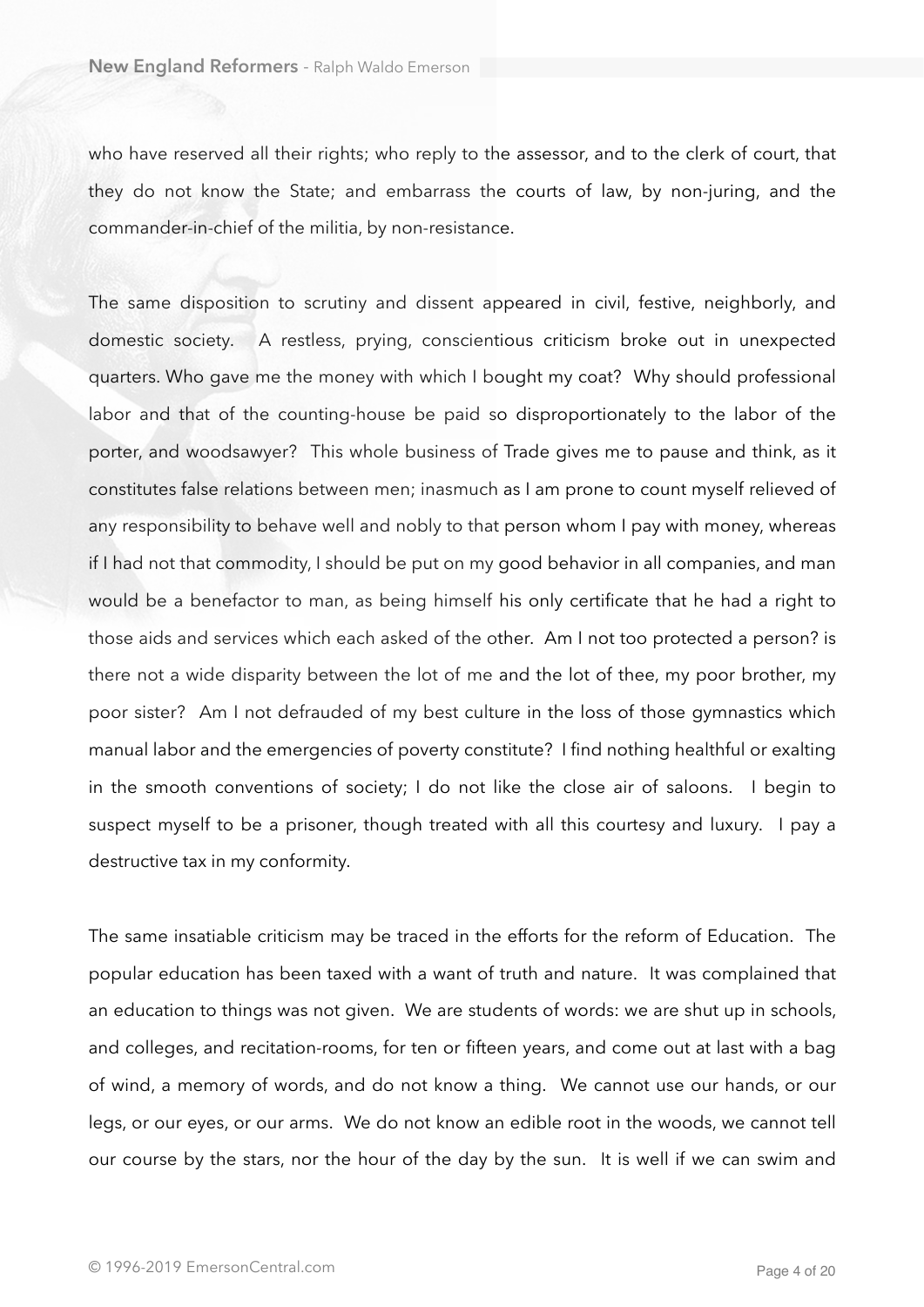who have reserved all their rights; who reply to the assessor, and to the clerk of court, that they do not know the State; and embarrass the courts of law, by non-juring, and the commander-in-chief of the militia, by non-resistance.

The same disposition to scrutiny and dissent appeared in civil, festive, neighborly, and domestic society. A restless, prying, conscientious criticism broke out in unexpected quarters. Who gave me the money with which I bought my coat? Why should professional labor and that of the counting-house be paid so disproportionately to the labor of the porter, and woodsawyer? This whole business of Trade gives me to pause and think, as it constitutes false relations between men; inasmuch as I am prone to count myself relieved of any responsibility to behave well and nobly to that person whom I pay with money, whereas if I had not that commodity, I should be put on my good behavior in all companies, and man would be a benefactor to man, as being himself his only certificate that he had a right to those aids and services which each asked of the other. Am I not too protected a person? is there not a wide disparity between the lot of me and the lot of thee, my poor brother, my poor sister? Am I not defrauded of my best culture in the loss of those gymnastics which manual labor and the emergencies of poverty constitute? I find nothing healthful or exalting in the smooth conventions of society; I do not like the close air of saloons. I begin to suspect myself to be a prisoner, though treated with all this courtesy and luxury. I pay a destructive tax in my conformity.

The same insatiable criticism may be traced in the efforts for the reform of Education. The popular education has been taxed with a want of truth and nature. It was complained that an education to things was not given. We are students of words: we are shut up in schools, and colleges, and recitation-rooms, for ten or fifteen years, and come out at last with a bag of wind, a memory of words, and do not know a thing. We cannot use our hands, or our legs, or our eyes, or our arms. We do not know an edible root in the woods, we cannot tell our course by the stars, nor the hour of the day by the sun. It is well if we can swim and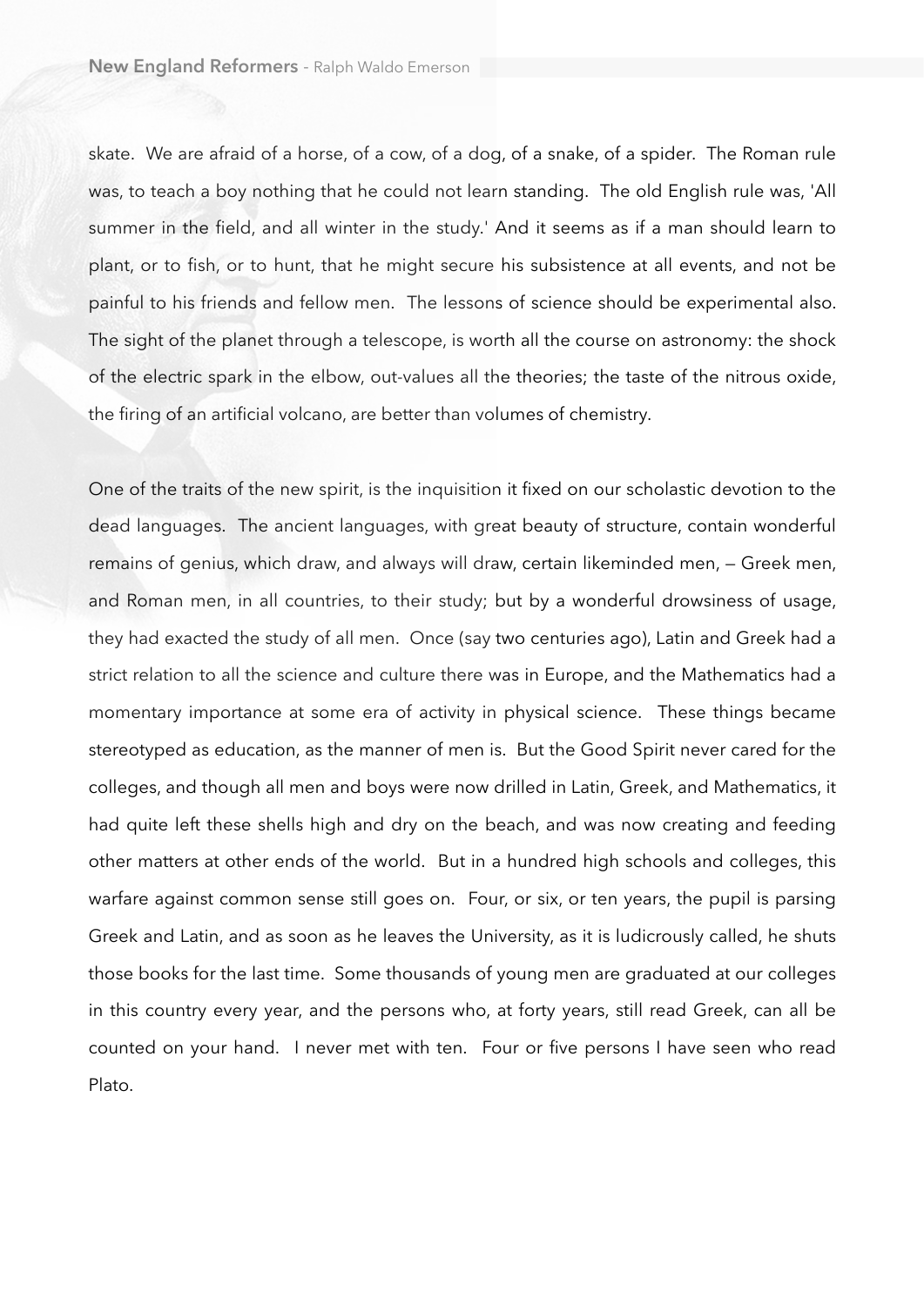skate. We are afraid of a horse, of a cow, of a dog, of a snake, of a spider. The Roman rule was, to teach a boy nothing that he could not learn standing. The old English rule was, 'All summer in the field, and all winter in the study.' And it seems as if a man should learn to plant, or to fish, or to hunt, that he might secure his subsistence at all events, and not be painful to his friends and fellow men. The lessons of science should be experimental also. The sight of the planet through a telescope, is worth all the course on astronomy: the shock of the electric spark in the elbow, out-values all the theories; the taste of the nitrous oxide, the firing of an artificial volcano, are better than volumes of chemistry.

One of the traits of the new spirit, is the inquisition it fixed on our scholastic devotion to the dead languages. The ancient languages, with great beauty of structure, contain wonderful remains of genius, which draw, and always will draw, certain likeminded men, — Greek men, and Roman men, in all countries, to their study; but by a wonderful drowsiness of usage, they had exacted the study of all men. Once (say two centuries ago), Latin and Greek had a strict relation to all the science and culture there was in Europe, and the Mathematics had a momentary importance at some era of activity in physical science. These things became stereotyped as education, as the manner of men is. But the Good Spirit never cared for the colleges, and though all men and boys were now drilled in Latin, Greek, and Mathematics, it had quite left these shells high and dry on the beach, and was now creating and feeding other matters at other ends of the world. But in a hundred high schools and colleges, this warfare against common sense still goes on. Four, or six, or ten years, the pupil is parsing Greek and Latin, and as soon as he leaves the University, as it is ludicrously called, he shuts those books for the last time. Some thousands of young men are graduated at our colleges in this country every year, and the persons who, at forty years, still read Greek, can all be counted on your hand. I never met with ten. Four or five persons I have seen who read Plato.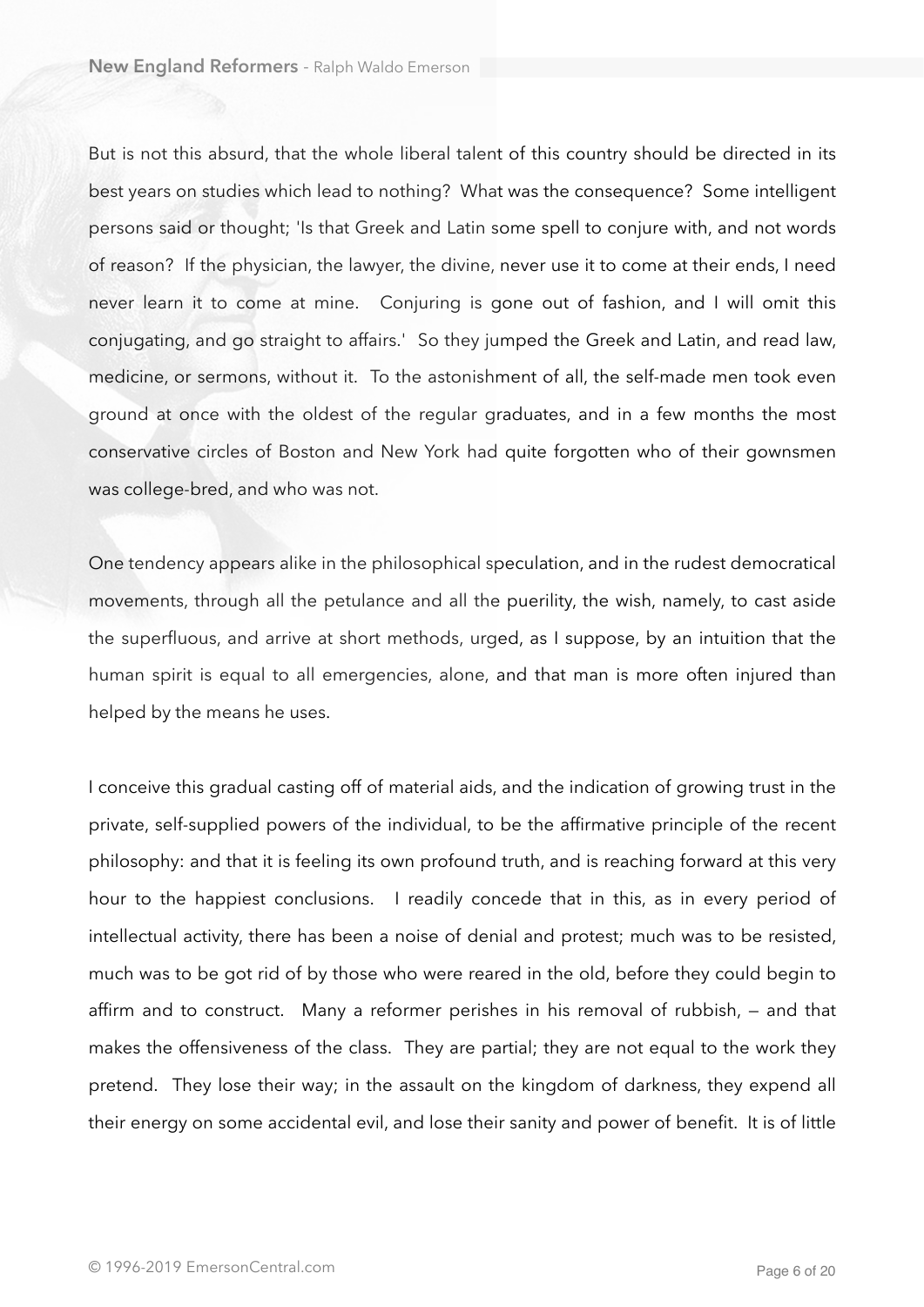But is not this absurd, that the whole liberal talent of this country should be directed in its best years on studies which lead to nothing? What was the consequence? Some intelligent persons said or thought; 'Is that Greek and Latin some spell to conjure with, and not words of reason? If the physician, the lawyer, the divine, never use it to come at their ends, I need never learn it to come at mine. Conjuring is gone out of fashion, and I will omit this conjugating, and go straight to affairs.' So they jumped the Greek and Latin, and read law, medicine, or sermons, without it. To the astonishment of all, the self-made men took even ground at once with the oldest of the regular graduates, and in a few months the most conservative circles of Boston and New York had quite forgotten who of their gownsmen was college-bred, and who was not.

One tendency appears alike in the philosophical speculation, and in the rudest democratical movements, through all the petulance and all the puerility, the wish, namely, to cast aside the superfluous, and arrive at short methods, urged, as I suppose, by an intuition that the human spirit is equal to all emergencies, alone, and that man is more often injured than helped by the means he uses.

I conceive this gradual casting off of material aids, and the indication of growing trust in the private, self-supplied powers of the individual, to be the affirmative principle of the recent philosophy: and that it is feeling its own profound truth, and is reaching forward at this very hour to the happiest conclusions. I readily concede that in this, as in every period of intellectual activity, there has been a noise of denial and protest; much was to be resisted, much was to be got rid of by those who were reared in the old, before they could begin to affirm and to construct. Many a reformer perishes in his removal of rubbish, — and that makes the offensiveness of the class. They are partial; they are not equal to the work they pretend. They lose their way; in the assault on the kingdom of darkness, they expend all their energy on some accidental evil, and lose their sanity and power of benefit. It is of little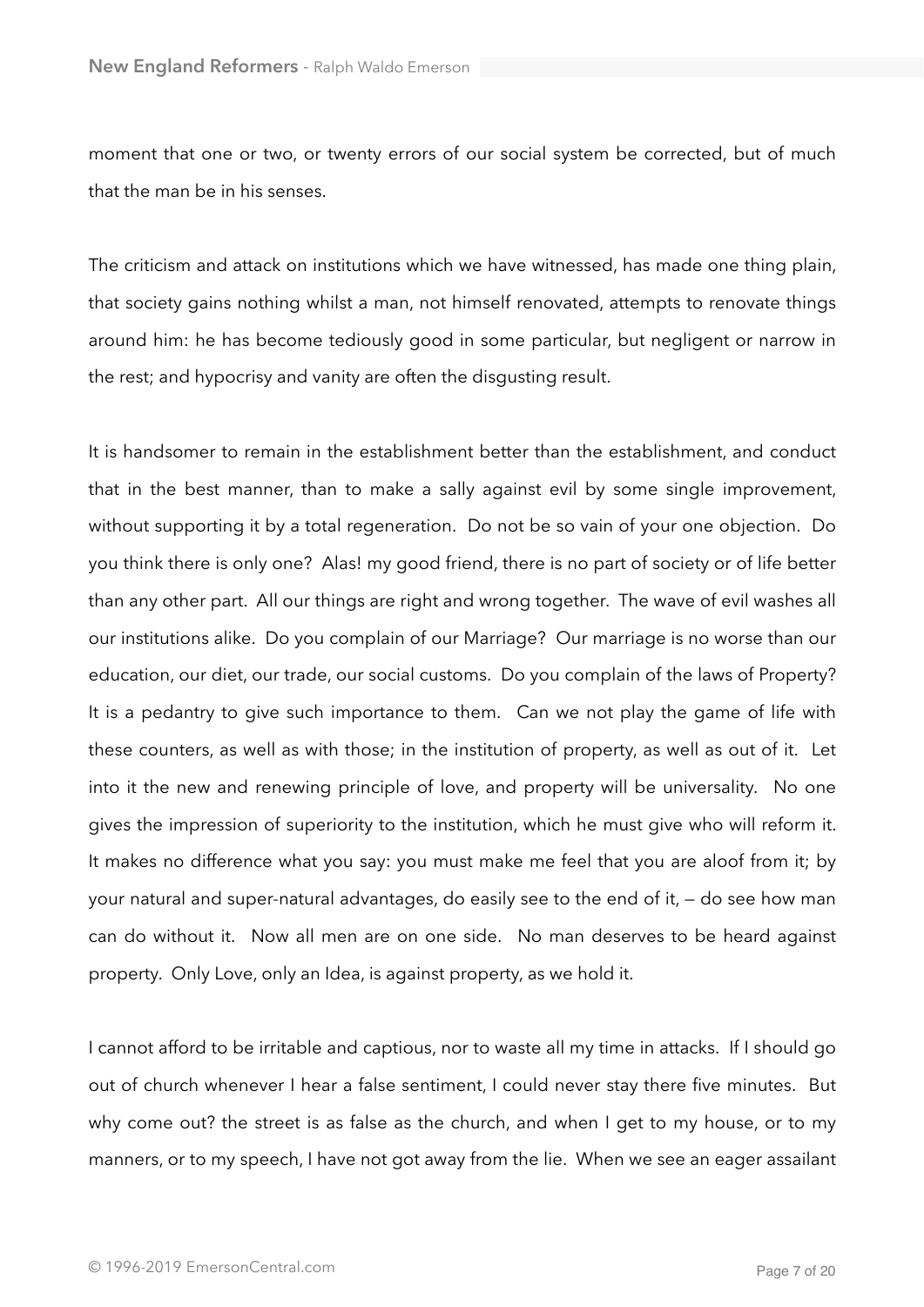moment that one or two, or twenty errors of our social system be corrected, but of much that the man be in his senses.

The criticism and attack on institutions which we have witnessed, has made one thing plain, that society gains nothing whilst a man, not himself renovated, attempts to renovate things around him: he has become tediously good in some particular, but negligent or narrow in the rest; and hypocrisy and vanity are often the disgusting result.

It is handsomer to remain in the establishment better than the establishment, and conduct that in the best manner, than to make a sally against evil by some single improvement, without supporting it by a total regeneration. Do not be so vain of your one objection. Do you think there is only one? Alas! my good friend, there is no part of society or of life better than any other part. All our things are right and wrong together. The wave of evil washes all our institutions alike. Do you complain of our Marriage? Our marriage is no worse than our education, our diet, our trade, our social customs. Do you complain of the laws of Property? It is a pedantry to give such importance to them. Can we not play the game of life with these counters, as well as with those; in the institution of property, as well as out of it. Let into it the new and renewing principle of love, and property will be universality. No one gives the impression of superiority to the institution, which he must give who will reform it. It makes no difference what you say: you must make me feel that you are aloof from it; by your natural and super-natural advantages, do easily see to the end of it, — do see how man can do without it. Now all men are on one side. No man deserves to be heard against property. Only Love, only an Idea, is against property, as we hold it.

I cannot afford to be irritable and captious, nor to waste all my time in attacks. If I should go out of church whenever I hear a false sentiment, I could never stay there five minutes. But why come out? the street is as false as the church, and when I get to my house, or to my manners, or to my speech, I have not got away from the lie. When we see an eager assailant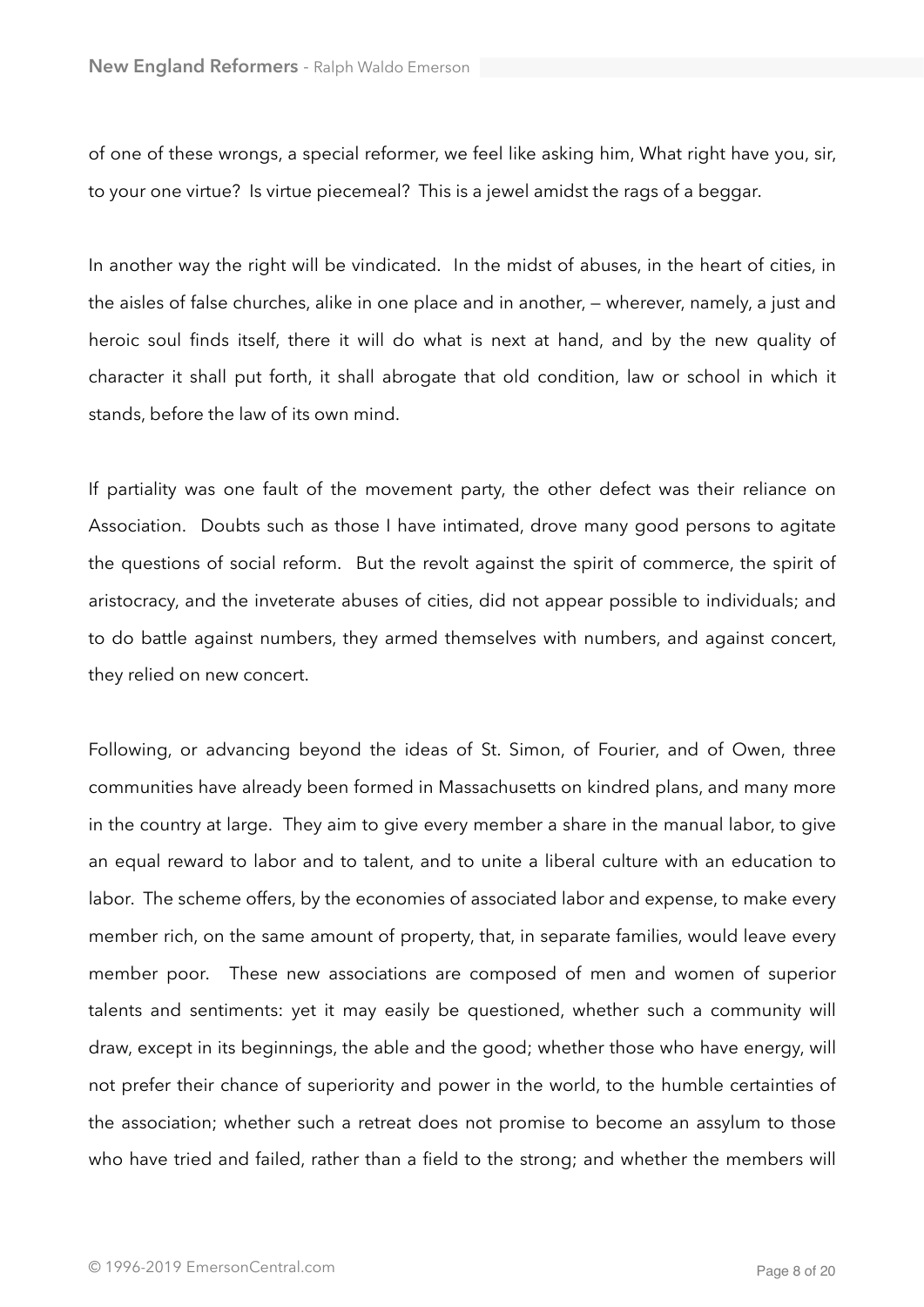of one of these wrongs, a special reformer, we feel like asking him, What right have you, sir, to your one virtue? Is virtue piecemeal? This is a jewel amidst the rags of a beggar.

In another way the right will be vindicated. In the midst of abuses, in the heart of cities, in the aisles of false churches, alike in one place and in another, — wherever, namely, a just and heroic soul finds itself, there it will do what is next at hand, and by the new quality of character it shall put forth, it shall abrogate that old condition, law or school in which it stands, before the law of its own mind.

If partiality was one fault of the movement party, the other defect was their reliance on Association. Doubts such as those I have intimated, drove many good persons to agitate the questions of social reform. But the revolt against the spirit of commerce, the spirit of aristocracy, and the inveterate abuses of cities, did not appear possible to individuals; and to do battle against numbers, they armed themselves with numbers, and against concert, they relied on new concert.

Following, or advancing beyond the ideas of St. Simon, of Fourier, and of Owen, three communities have already been formed in Massachusetts on kindred plans, and many more in the country at large. They aim to give every member a share in the manual labor, to give an equal reward to labor and to talent, and to unite a liberal culture with an education to labor. The scheme offers, by the economies of associated labor and expense, to make every member rich, on the same amount of property, that, in separate families, would leave every member poor. These new associations are composed of men and women of superior talents and sentiments: yet it may easily be questioned, whether such a community will draw, except in its beginnings, the able and the good; whether those who have energy, will not prefer their chance of superiority and power in the world, to the humble certainties of the association; whether such a retreat does not promise to become an assylum to those who have tried and failed, rather than a field to the strong; and whether the members will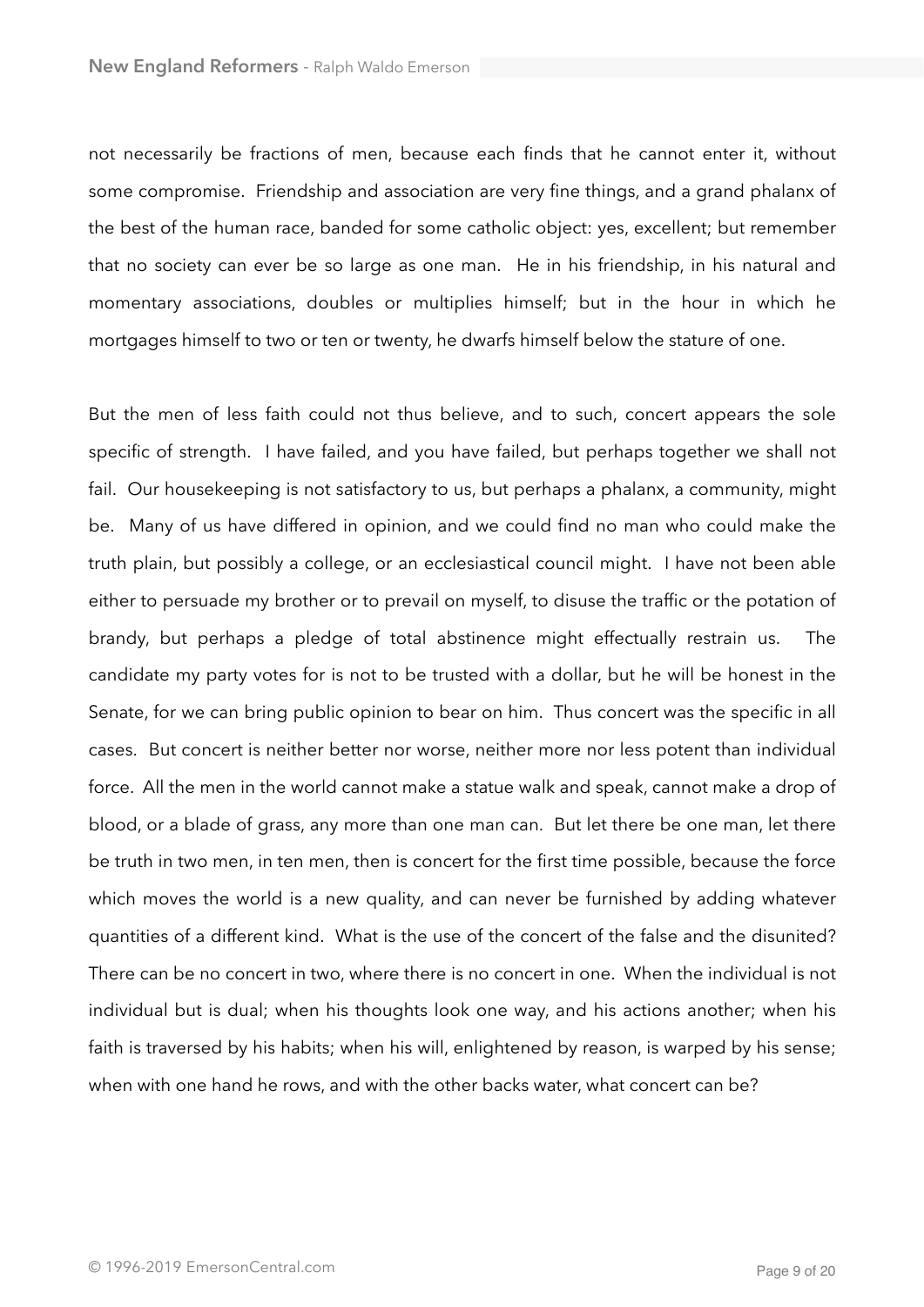not necessarily be fractions of men, because each finds that he cannot enter it, without some compromise. Friendship and association are very fine things, and a grand phalanx of the best of the human race, banded for some catholic object: yes, excellent; but remember that no society can ever be so large as one man. He in his friendship, in his natural and momentary associations, doubles or multiplies himself; but in the hour in which he mortgages himself to two or ten or twenty, he dwarfs himself below the stature of one.

But the men of less faith could not thus believe, and to such, concert appears the sole specific of strength. I have failed, and you have failed, but perhaps together we shall not fail. Our housekeeping is not satisfactory to us, but perhaps a phalanx, a community, might be. Many of us have differed in opinion, and we could find no man who could make the truth plain, but possibly a college, or an ecclesiastical council might. I have not been able either to persuade my brother or to prevail on myself, to disuse the traffic or the potation of brandy, but perhaps a pledge of total abstinence might effectually restrain us. The candidate my party votes for is not to be trusted with a dollar, but he will be honest in the Senate, for we can bring public opinion to bear on him. Thus concert was the specific in all cases. But concert is neither better nor worse, neither more nor less potent than individual force. All the men in the world cannot make a statue walk and speak, cannot make a drop of blood, or a blade of grass, any more than one man can. But let there be one man, let there be truth in two men, in ten men, then is concert for the first time possible, because the force which moves the world is a new quality, and can never be furnished by adding whatever quantities of a different kind. What is the use of the concert of the false and the disunited? There can be no concert in two, where there is no concert in one. When the individual is not individual but is dual; when his thoughts look one way, and his actions another; when his faith is traversed by his habits; when his will, enlightened by reason, is warped by his sense; when with one hand he rows, and with the other backs water, what concert can be?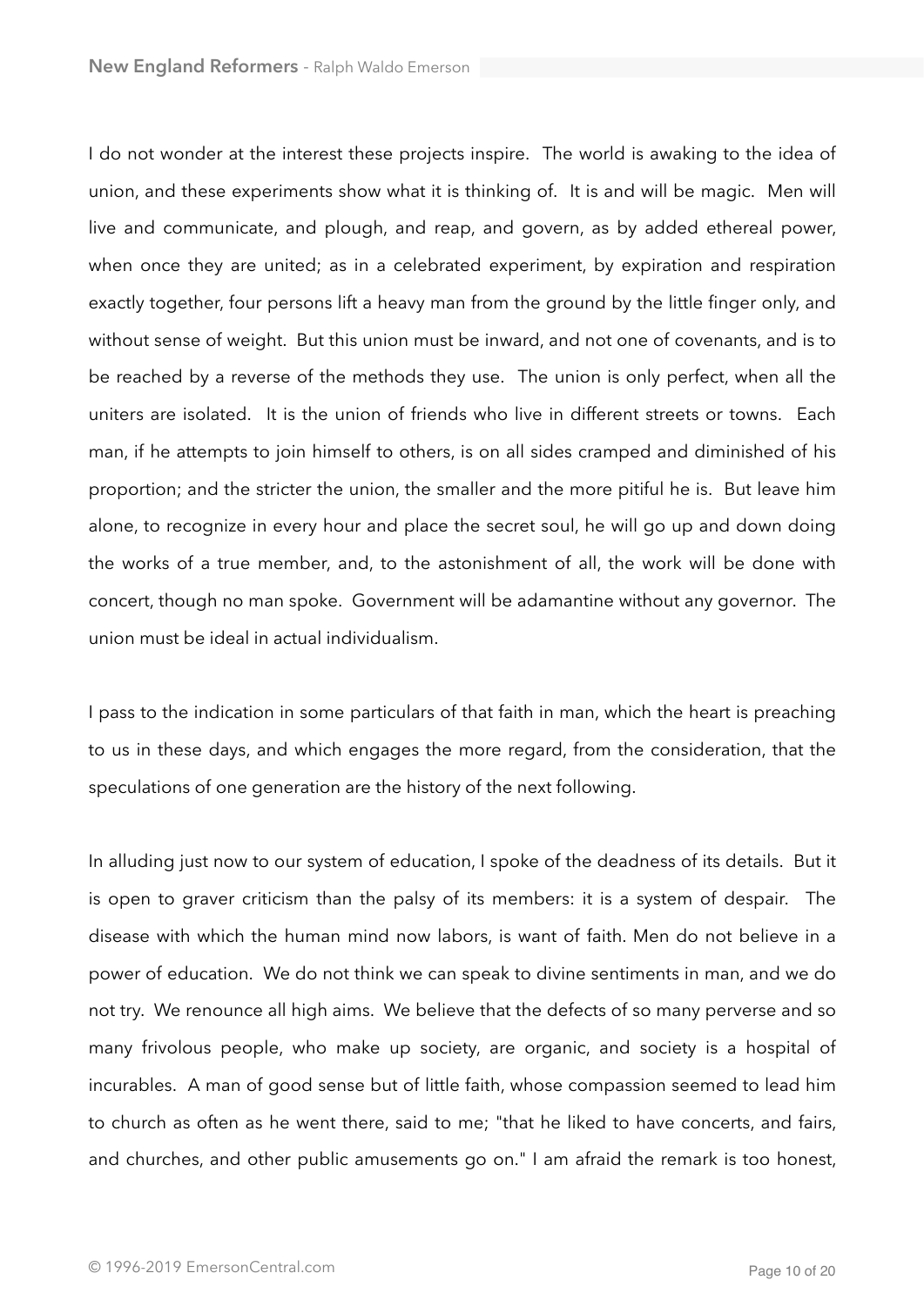I do not wonder at the interest these projects inspire. The world is awaking to the idea of union, and these experiments show what it is thinking of. It is and will be magic. Men will live and communicate, and plough, and reap, and govern, as by added ethereal power, when once they are united; as in a celebrated experiment, by expiration and respiration exactly together, four persons lift a heavy man from the ground by the little finger only, and without sense of weight. But this union must be inward, and not one of covenants, and is to be reached by a reverse of the methods they use. The union is only perfect, when all the uniters are isolated. It is the union of friends who live in different streets or towns. Each man, if he attempts to join himself to others, is on all sides cramped and diminished of his proportion; and the stricter the union, the smaller and the more pitiful he is. But leave him alone, to recognize in every hour and place the secret soul, he will go up and down doing the works of a true member, and, to the astonishment of all, the work will be done with concert, though no man spoke. Government will be adamantine without any governor. The union must be ideal in actual individualism.

I pass to the indication in some particulars of that faith in man, which the heart is preaching to us in these days, and which engages the more regard, from the consideration, that the speculations of one generation are the history of the next following.

In alluding just now to our system of education, I spoke of the deadness of its details. But it is open to graver criticism than the palsy of its members: it is a system of despair. The disease with which the human mind now labors, is want of faith. Men do not believe in a power of education. We do not think we can speak to divine sentiments in man, and we do not try. We renounce all high aims. We believe that the defects of so many perverse and so many frivolous people, who make up society, are organic, and society is a hospital of incurables. A man of good sense but of little faith, whose compassion seemed to lead him to church as often as he went there, said to me; "that he liked to have concerts, and fairs, and churches, and other public amusements go on." I am afraid the remark is too honest,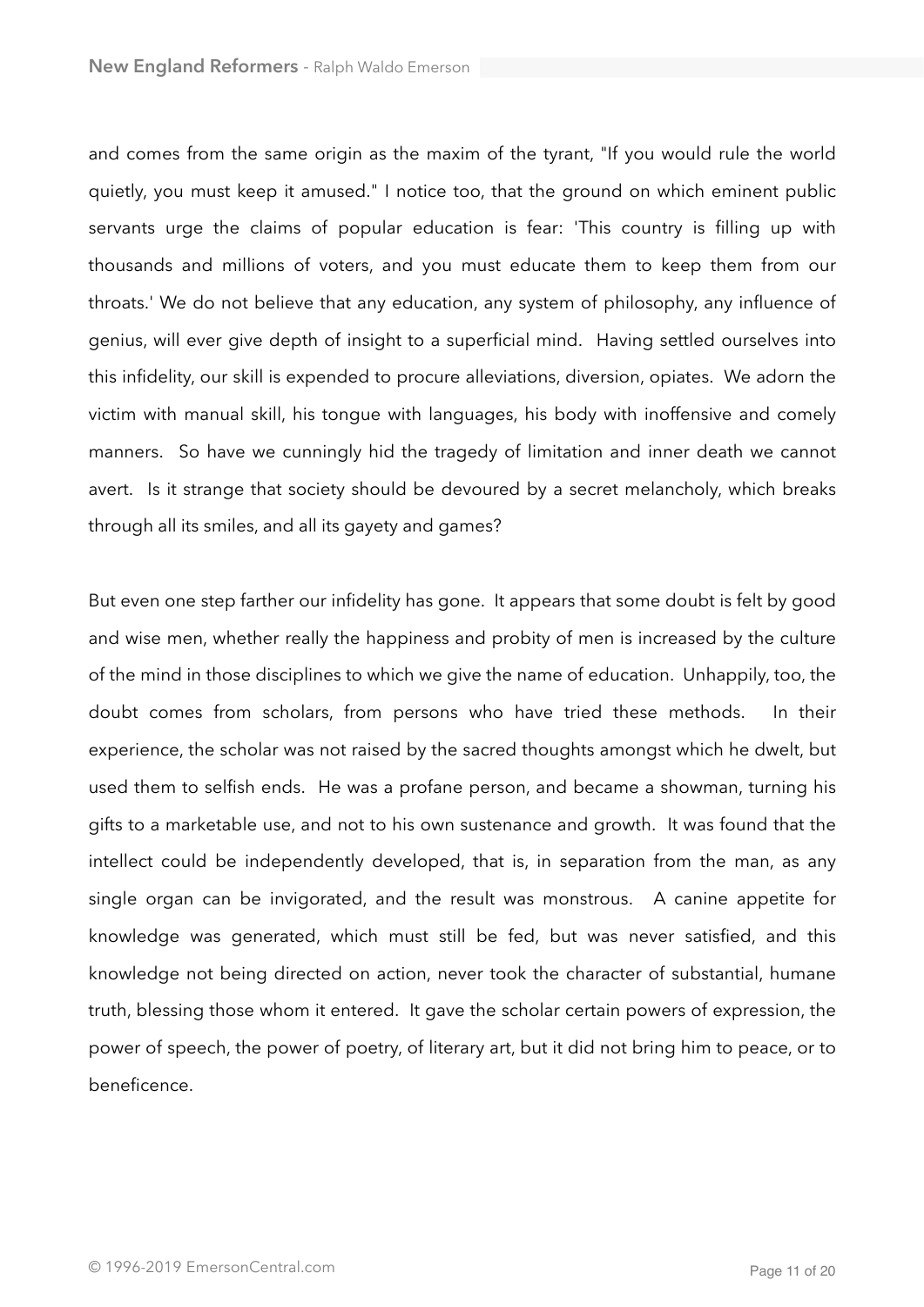and comes from the same origin as the maxim of the tyrant, "If you would rule the world quietly, you must keep it amused." I notice too, that the ground on which eminent public servants urge the claims of popular education is fear: 'This country is filling up with thousands and millions of voters, and you must educate them to keep them from our throats.' We do not believe that any education, any system of philosophy, any influence of genius, will ever give depth of insight to a superficial mind. Having settled ourselves into this infidelity, our skill is expended to procure alleviations, diversion, opiates. We adorn the victim with manual skill, his tongue with languages, his body with inoffensive and comely manners. So have we cunningly hid the tragedy of limitation and inner death we cannot avert. Is it strange that society should be devoured by a secret melancholy, which breaks through all its smiles, and all its gayety and games?

But even one step farther our infidelity has gone. It appears that some doubt is felt by good and wise men, whether really the happiness and probity of men is increased by the culture of the mind in those disciplines to which we give the name of education. Unhappily, too, the doubt comes from scholars, from persons who have tried these methods. In their experience, the scholar was not raised by the sacred thoughts amongst which he dwelt, but used them to selfish ends. He was a profane person, and became a showman, turning his gifts to a marketable use, and not to his own sustenance and growth. It was found that the intellect could be independently developed, that is, in separation from the man, as any single organ can be invigorated, and the result was monstrous. A canine appetite for knowledge was generated, which must still be fed, but was never satisfied, and this knowledge not being directed on action, never took the character of substantial, humane truth, blessing those whom it entered. It gave the scholar certain powers of expression, the power of speech, the power of poetry, of literary art, but it did not bring him to peace, or to beneficence.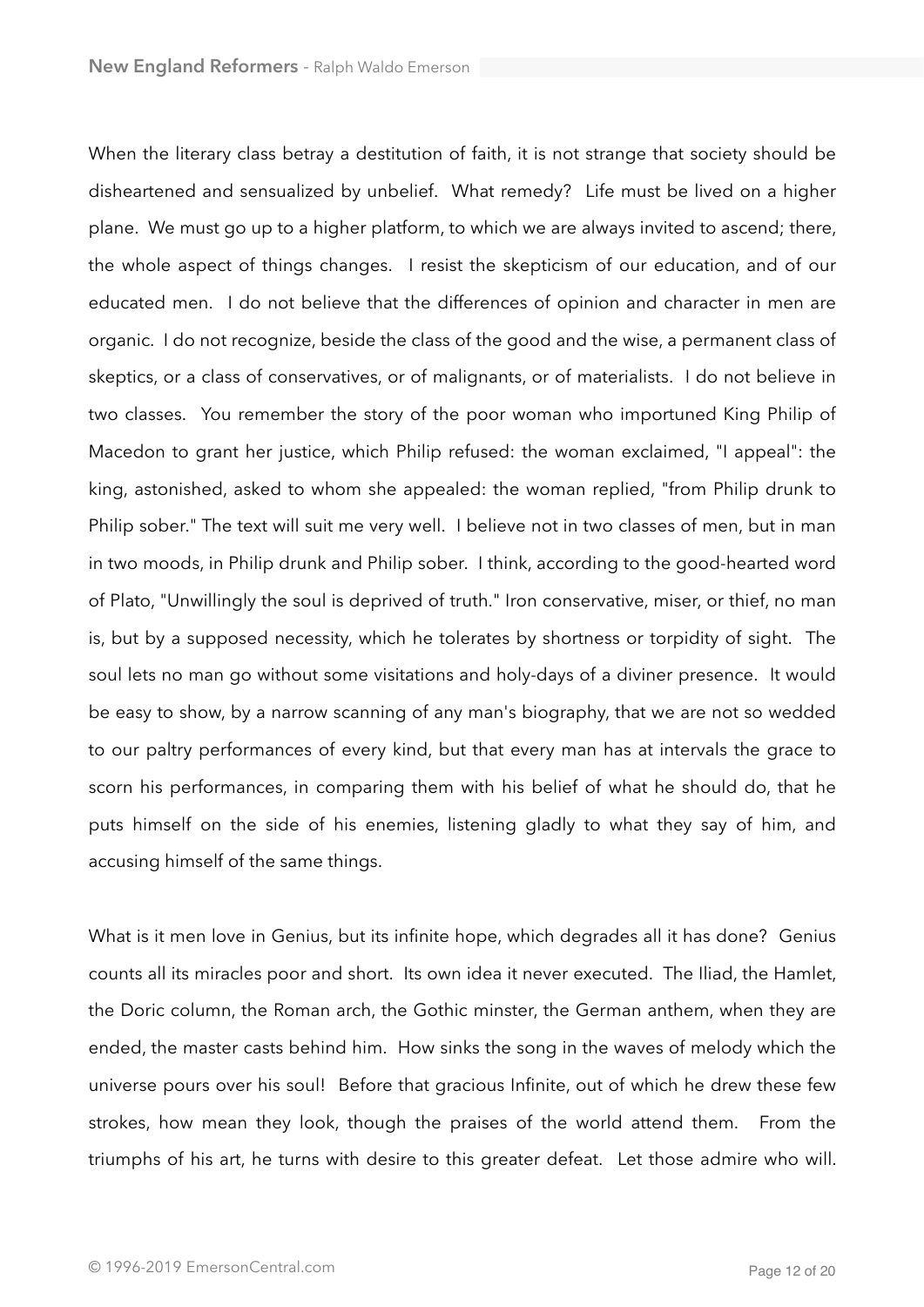When the literary class betray a destitution of faith, it is not strange that society should be disheartened and sensualized by unbelief. What remedy? Life must be lived on a higher plane. We must go up to a higher platform, to which we are always invited to ascend; there, the whole aspect of things changes. I resist the skepticism of our education, and of our educated men. I do not believe that the differences of opinion and character in men are organic. I do not recognize, beside the class of the good and the wise, a permanent class of skeptics, or a class of conservatives, or of malignants, or of materialists. I do not believe in two classes. You remember the story of the poor woman who importuned King Philip of Macedon to grant her justice, which Philip refused: the woman exclaimed, "I appeal": the king, astonished, asked to whom she appealed: the woman replied, "from Philip drunk to Philip sober." The text will suit me very well. I believe not in two classes of men, but in man in two moods, in Philip drunk and Philip sober. I think, according to the good-hearted word of Plato, "Unwillingly the soul is deprived of truth." Iron conservative, miser, or thief, no man is, but by a supposed necessity, which he tolerates by shortness or torpidity of sight. The soul lets no man go without some visitations and holy-days of a diviner presence. It would be easy to show, by a narrow scanning of any man's biography, that we are not so wedded to our paltry performances of every kind, but that every man has at intervals the grace to scorn his performances, in comparing them with his belief of what he should do, that he puts himself on the side of his enemies, listening gladly to what they say of him, and accusing himself of the same things.

What is it men love in Genius, but its infinite hope, which degrades all it has done? Genius counts all its miracles poor and short. Its own idea it never executed. The Iliad, the Hamlet, the Doric column, the Roman arch, the Gothic minster, the German anthem, when they are ended, the master casts behind him. How sinks the song in the waves of melody which the universe pours over his soul! Before that gracious Infinite, out of which he drew these few strokes, how mean they look, though the praises of the world attend them. From the triumphs of his art, he turns with desire to this greater defeat. Let those admire who will.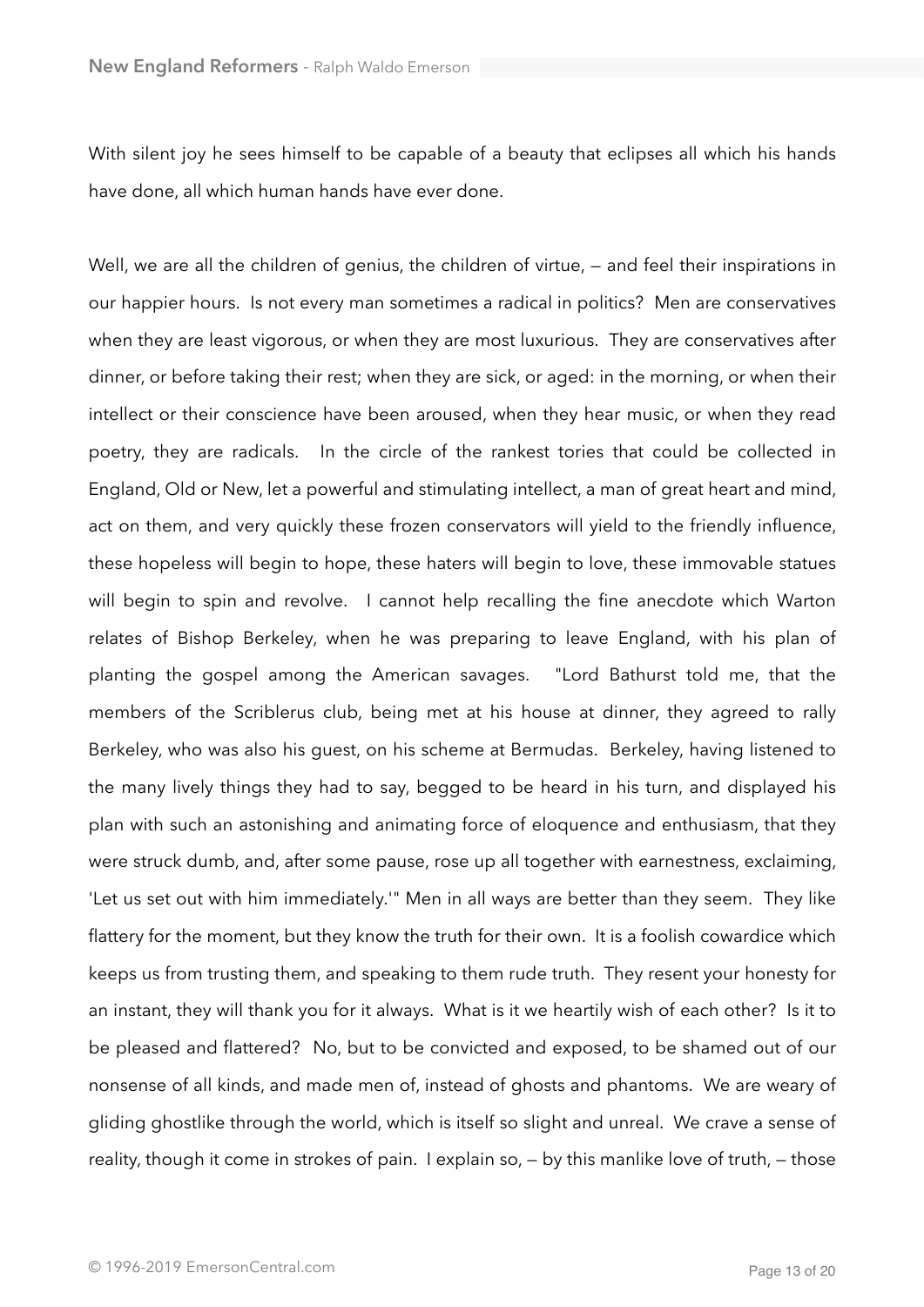With silent joy he sees himself to be capable of a beauty that eclipses all which his hands have done, all which human hands have ever done.

Well, we are all the children of genius, the children of virtue,  $-$  and feel their inspirations in our happier hours. Is not every man sometimes a radical in politics? Men are conservatives when they are least vigorous, or when they are most luxurious. They are conservatives after dinner, or before taking their rest; when they are sick, or aged: in the morning, or when their intellect or their conscience have been aroused, when they hear music, or when they read poetry, they are radicals. In the circle of the rankest tories that could be collected in England, Old or New, let a powerful and stimulating intellect, a man of great heart and mind, act on them, and very quickly these frozen conservators will yield to the friendly influence, these hopeless will begin to hope, these haters will begin to love, these immovable statues will begin to spin and revolve. I cannot help recalling the fine anecdote which Warton relates of Bishop Berkeley, when he was preparing to leave England, with his plan of planting the gospel among the American savages. "Lord Bathurst told me, that the members of the Scriblerus club, being met at his house at dinner, they agreed to rally Berkeley, who was also his guest, on his scheme at Bermudas. Berkeley, having listened to the many lively things they had to say, begged to be heard in his turn, and displayed his plan with such an astonishing and animating force of eloquence and enthusiasm, that they were struck dumb, and, after some pause, rose up all together with earnestness, exclaiming, 'Let us set out with him immediately.'" Men in all ways are better than they seem. They like flattery for the moment, but they know the truth for their own. It is a foolish cowardice which keeps us from trusting them, and speaking to them rude truth. They resent your honesty for an instant, they will thank you for it always. What is it we heartily wish of each other? Is it to be pleased and flattered? No, but to be convicted and exposed, to be shamed out of our nonsense of all kinds, and made men of, instead of ghosts and phantoms. We are weary of gliding ghostlike through the world, which is itself so slight and unreal. We crave a sense of reality, though it come in strokes of pain. I explain so, — by this manlike love of truth, — those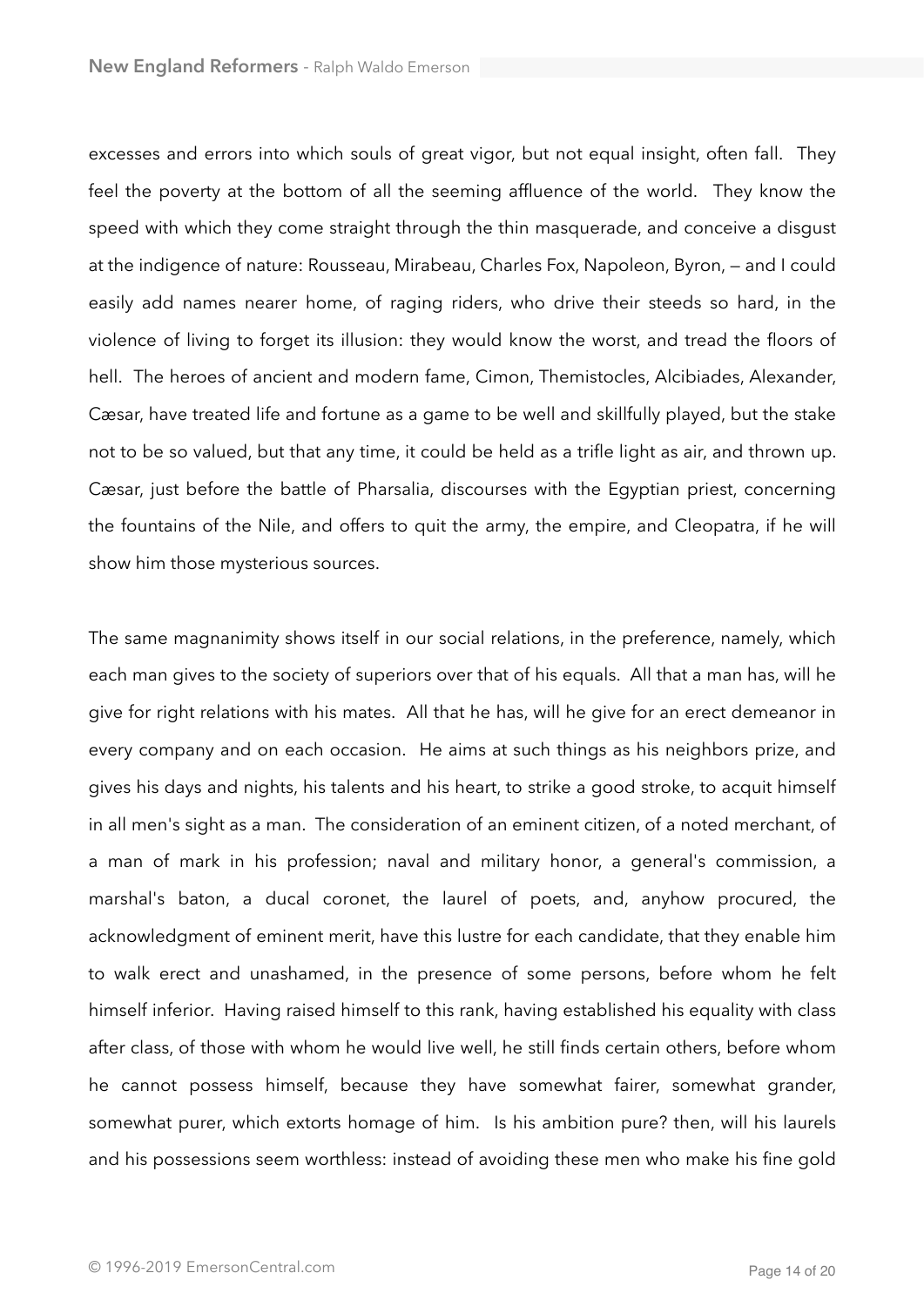excesses and errors into which souls of great vigor, but not equal insight, often fall. They feel the poverty at the bottom of all the seeming affluence of the world. They know the speed with which they come straight through the thin masquerade, and conceive a disgust at the indigence of nature: Rousseau, Mirabeau, Charles Fox, Napoleon, Byron, — and I could easily add names nearer home, of raging riders, who drive their steeds so hard, in the violence of living to forget its illusion: they would know the worst, and tread the floors of hell. The heroes of ancient and modern fame, Cimon, Themistocles, Alcibiades, Alexander, Cæsar, have treated life and fortune as a game to be well and skillfully played, but the stake not to be so valued, but that any time, it could be held as a trifle light as air, and thrown up. Cæsar, just before the battle of Pharsalia, discourses with the Egyptian priest, concerning the fountains of the Nile, and offers to quit the army, the empire, and Cleopatra, if he will show him those mysterious sources.

The same magnanimity shows itself in our social relations, in the preference, namely, which each man gives to the society of superiors over that of his equals. All that a man has, will he give for right relations with his mates. All that he has, will he give for an erect demeanor in every company and on each occasion. He aims at such things as his neighbors prize, and gives his days and nights, his talents and his heart, to strike a good stroke, to acquit himself in all men's sight as a man. The consideration of an eminent citizen, of a noted merchant, of a man of mark in his profession; naval and military honor, a general's commission, a marshal's baton, a ducal coronet, the laurel of poets, and, anyhow procured, the acknowledgment of eminent merit, have this lustre for each candidate, that they enable him to walk erect and unashamed, in the presence of some persons, before whom he felt himself inferior. Having raised himself to this rank, having established his equality with class after class, of those with whom he would live well, he still finds certain others, before whom he cannot possess himself, because they have somewhat fairer, somewhat grander, somewhat purer, which extorts homage of him. Is his ambition pure? then, will his laurels and his possessions seem worthless: instead of avoiding these men who make his fine gold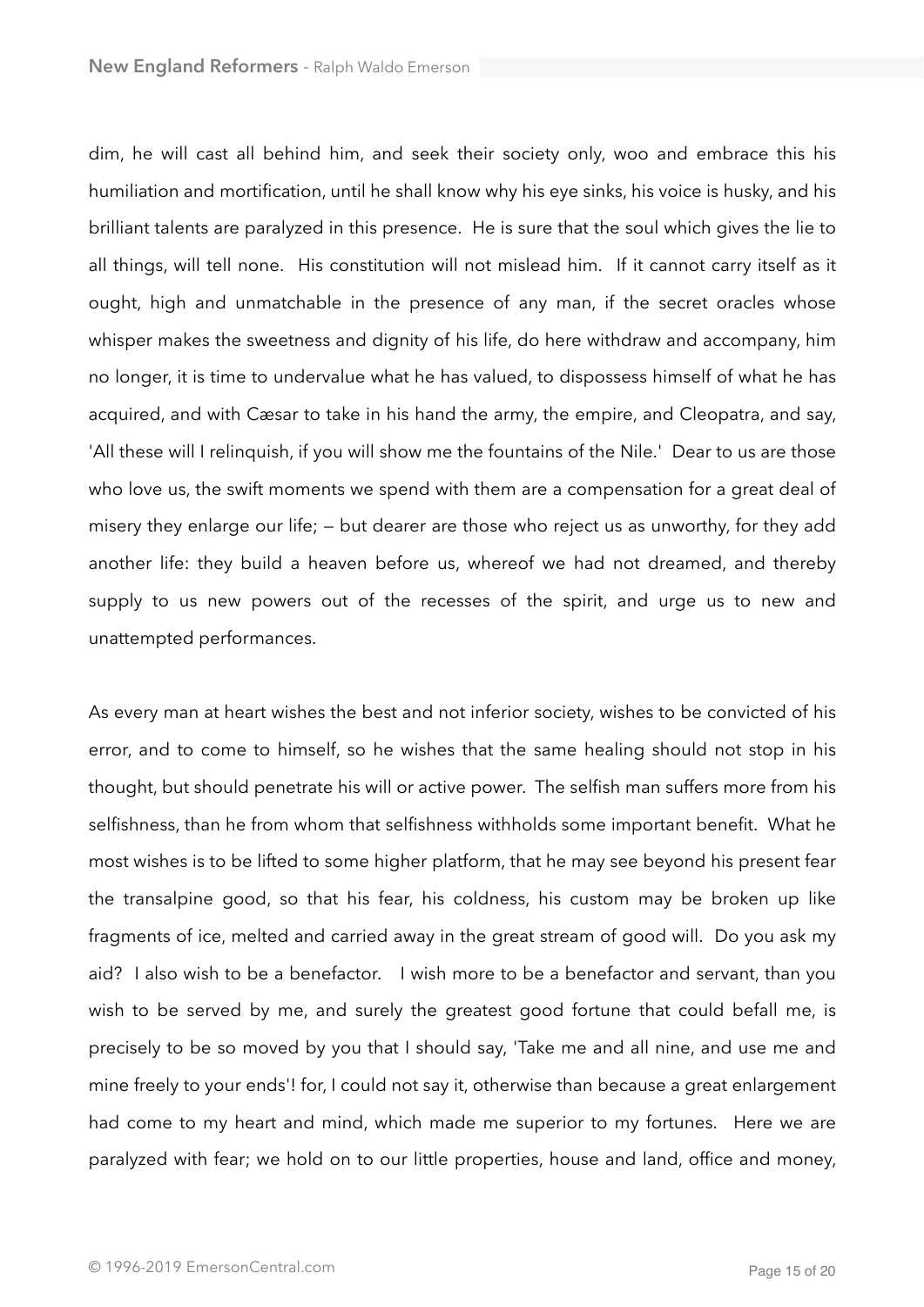dim, he will cast all behind him, and seek their society only, woo and embrace this his humiliation and mortification, until he shall know why his eye sinks, his voice is husky, and his brilliant talents are paralyzed in this presence. He is sure that the soul which gives the lie to all things, will tell none. His constitution will not mislead him. If it cannot carry itself as it ought, high and unmatchable in the presence of any man, if the secret oracles whose whisper makes the sweetness and dignity of his life, do here withdraw and accompany, him no longer, it is time to undervalue what he has valued, to dispossess himself of what he has acquired, and with Cæsar to take in his hand the army, the empire, and Cleopatra, and say, 'All these will I relinquish, if you will show me the fountains of the Nile.' Dear to us are those who love us, the swift moments we spend with them are a compensation for a great deal of misery they enlarge our life; — but dearer are those who reject us as unworthy, for they add another life: they build a heaven before us, whereof we had not dreamed, and thereby supply to us new powers out of the recesses of the spirit, and urge us to new and unattempted performances.

As every man at heart wishes the best and not inferior society, wishes to be convicted of his error, and to come to himself, so he wishes that the same healing should not stop in his thought, but should penetrate his will or active power. The selfish man suffers more from his selfishness, than he from whom that selfishness withholds some important benefit. What he most wishes is to be lifted to some higher platform, that he may see beyond his present fear the transalpine good, so that his fear, his coldness, his custom may be broken up like fragments of ice, melted and carried away in the great stream of good will. Do you ask my aid? I also wish to be a benefactor. I wish more to be a benefactor and servant, than you wish to be served by me, and surely the greatest good fortune that could befall me, is precisely to be so moved by you that I should say, 'Take me and all nine, and use me and mine freely to your ends'! for, I could not say it, otherwise than because a great enlargement had come to my heart and mind, which made me superior to my fortunes. Here we are paralyzed with fear; we hold on to our little properties, house and land, office and money,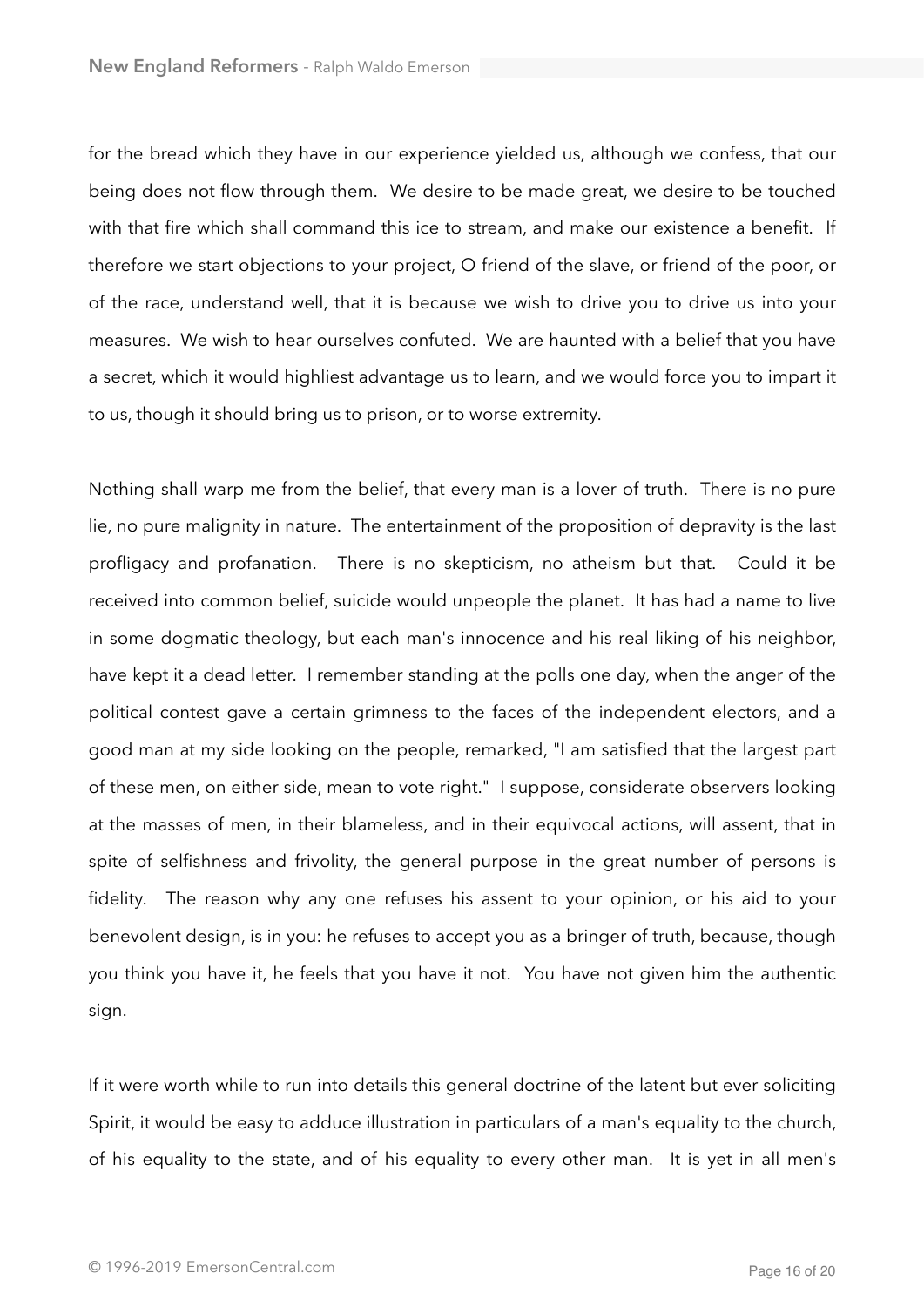for the bread which they have in our experience yielded us, although we confess, that our being does not flow through them. We desire to be made great, we desire to be touched with that fire which shall command this ice to stream, and make our existence a benefit. If therefore we start objections to your project, O friend of the slave, or friend of the poor, or of the race, understand well, that it is because we wish to drive you to drive us into your measures. We wish to hear ourselves confuted. We are haunted with a belief that you have a secret, which it would highliest advantage us to learn, and we would force you to impart it to us, though it should bring us to prison, or to worse extremity.

Nothing shall warp me from the belief, that every man is a lover of truth. There is no pure lie, no pure malignity in nature. The entertainment of the proposition of depravity is the last profligacy and profanation. There is no skepticism, no atheism but that. Could it be received into common belief, suicide would unpeople the planet. It has had a name to live in some dogmatic theology, but each man's innocence and his real liking of his neighbor, have kept it a dead letter. I remember standing at the polls one day, when the anger of the political contest gave a certain grimness to the faces of the independent electors, and a good man at my side looking on the people, remarked, "I am satisfied that the largest part of these men, on either side, mean to vote right." I suppose, considerate observers looking at the masses of men, in their blameless, and in their equivocal actions, will assent, that in spite of selfishness and frivolity, the general purpose in the great number of persons is fidelity. The reason why any one refuses his assent to your opinion, or his aid to your benevolent design, is in you: he refuses to accept you as a bringer of truth, because, though you think you have it, he feels that you have it not. You have not given him the authentic sign.

If it were worth while to run into details this general doctrine of the latent but ever soliciting Spirit, it would be easy to adduce illustration in particulars of a man's equality to the church, of his equality to the state, and of his equality to every other man. It is yet in all men's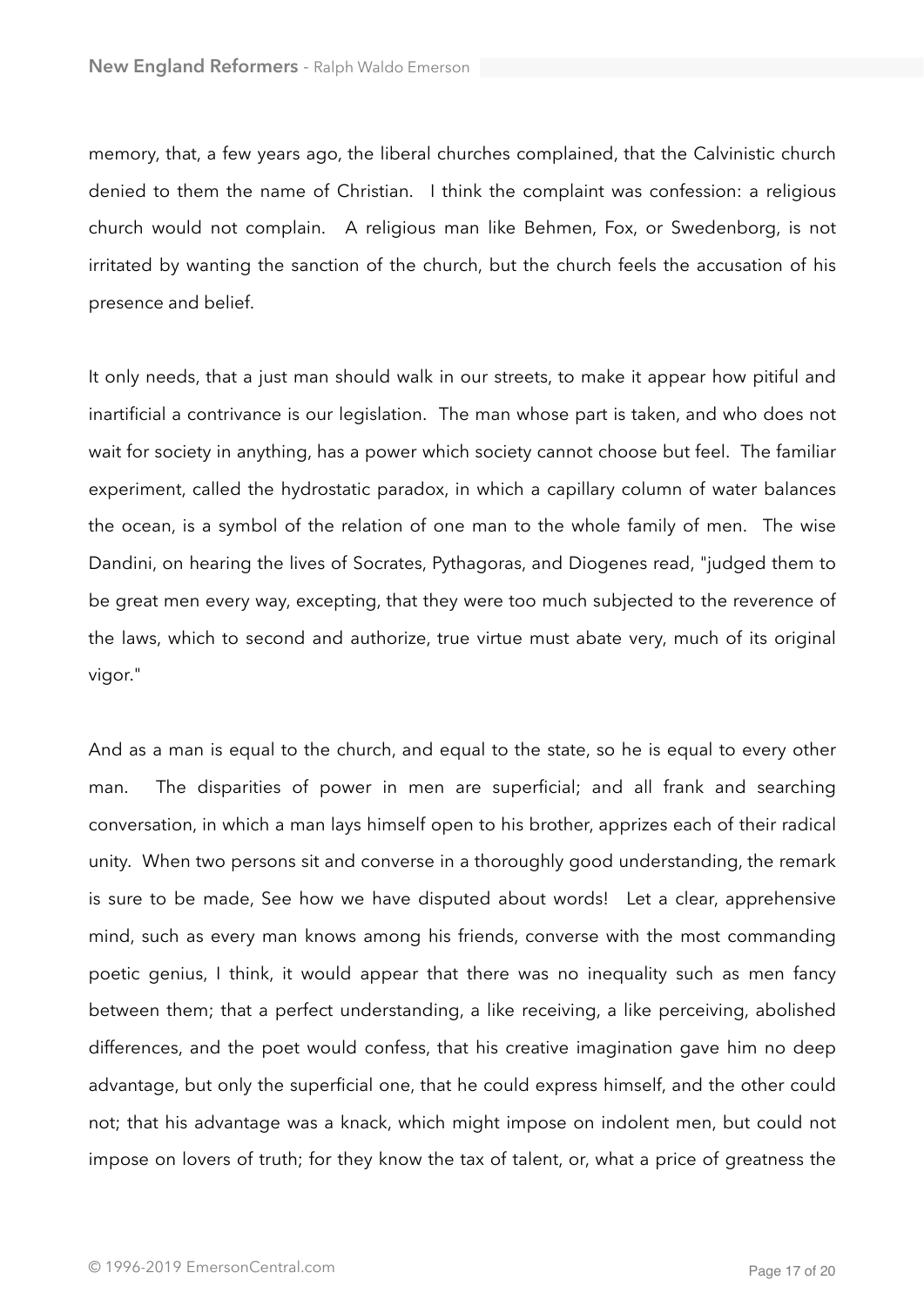memory, that, a few years ago, the liberal churches complained, that the Calvinistic church denied to them the name of Christian. I think the complaint was confession: a religious church would not complain. A religious man like Behmen, Fox, or Swedenborg, is not irritated by wanting the sanction of the church, but the church feels the accusation of his presence and belief.

It only needs, that a just man should walk in our streets, to make it appear how pitiful and inartificial a contrivance is our legislation. The man whose part is taken, and who does not wait for society in anything, has a power which society cannot choose but feel. The familiar experiment, called the hydrostatic paradox, in which a capillary column of water balances the ocean, is a symbol of the relation of one man to the whole family of men. The wise Dandini, on hearing the lives of Socrates, Pythagoras, and Diogenes read, "judged them to be great men every way, excepting, that they were too much subjected to the reverence of the laws, which to second and authorize, true virtue must abate very, much of its original vigor."

And as a man is equal to the church, and equal to the state, so he is equal to every other man. The disparities of power in men are superficial; and all frank and searching conversation, in which a man lays himself open to his brother, apprizes each of their radical unity. When two persons sit and converse in a thoroughly good understanding, the remark is sure to be made, See how we have disputed about words! Let a clear, apprehensive mind, such as every man knows among his friends, converse with the most commanding poetic genius, I think, it would appear that there was no inequality such as men fancy between them; that a perfect understanding, a like receiving, a like perceiving, abolished differences, and the poet would confess, that his creative imagination gave him no deep advantage, but only the superficial one, that he could express himself, and the other could not; that his advantage was a knack, which might impose on indolent men, but could not impose on lovers of truth; for they know the tax of talent, or, what a price of greatness the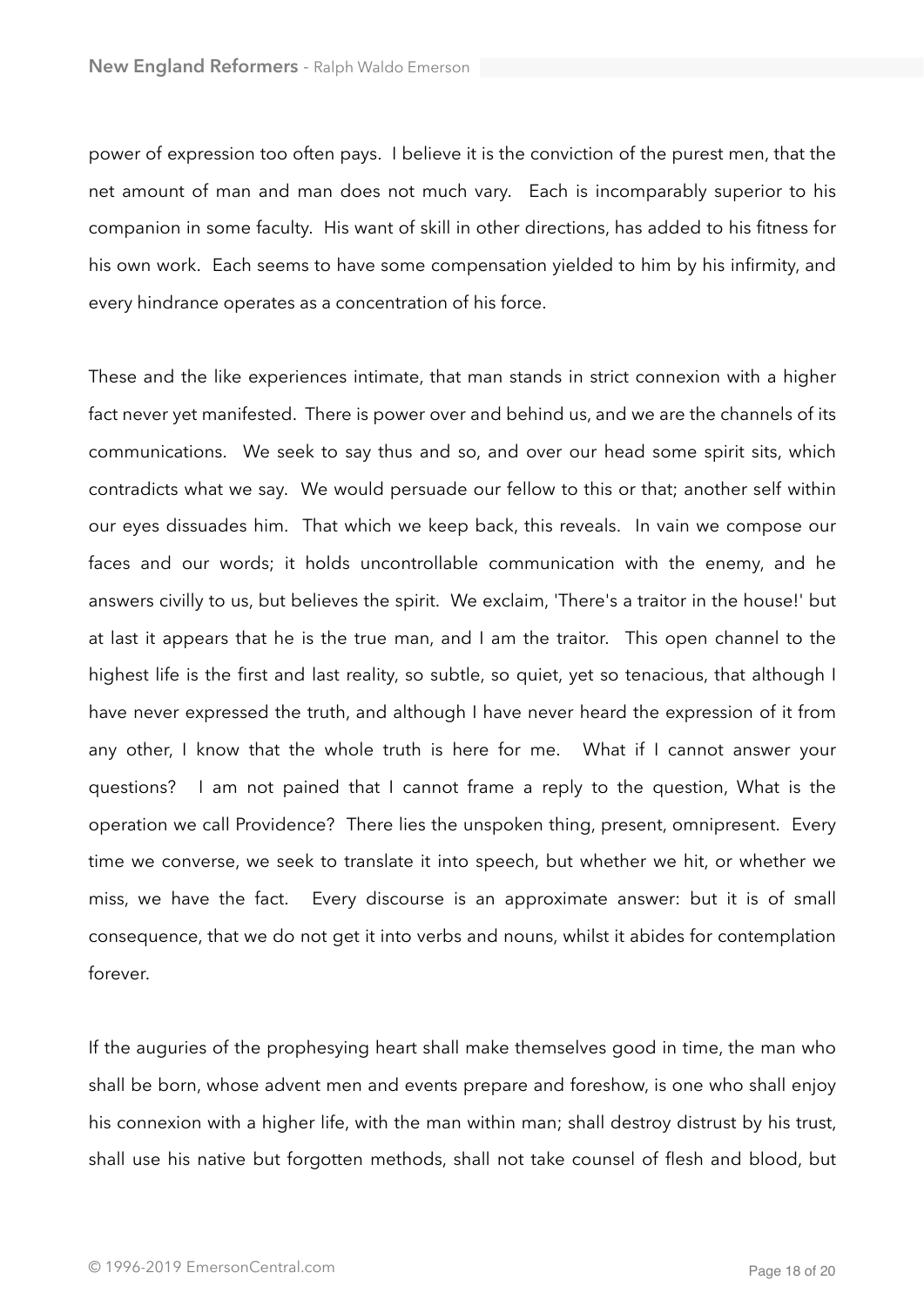power of expression too often pays. I believe it is the conviction of the purest men, that the net amount of man and man does not much vary. Each is incomparably superior to his companion in some faculty. His want of skill in other directions, has added to his fitness for his own work. Each seems to have some compensation yielded to him by his infirmity, and every hindrance operates as a concentration of his force.

These and the like experiences intimate, that man stands in strict connexion with a higher fact never yet manifested. There is power over and behind us, and we are the channels of its communications. We seek to say thus and so, and over our head some spirit sits, which contradicts what we say. We would persuade our fellow to this or that; another self within our eyes dissuades him. That which we keep back, this reveals. In vain we compose our faces and our words; it holds uncontrollable communication with the enemy, and he answers civilly to us, but believes the spirit. We exclaim, 'There's a traitor in the house!' but at last it appears that he is the true man, and I am the traitor. This open channel to the highest life is the first and last reality, so subtle, so quiet, yet so tenacious, that although I have never expressed the truth, and although I have never heard the expression of it from any other, I know that the whole truth is here for me. What if I cannot answer your questions? I am not pained that I cannot frame a reply to the question, What is the operation we call Providence? There lies the unspoken thing, present, omnipresent. Every time we converse, we seek to translate it into speech, but whether we hit, or whether we miss, we have the fact. Every discourse is an approximate answer: but it is of small consequence, that we do not get it into verbs and nouns, whilst it abides for contemplation forever.

If the auguries of the prophesying heart shall make themselves good in time, the man who shall be born, whose advent men and events prepare and foreshow, is one who shall enjoy his connexion with a higher life, with the man within man; shall destroy distrust by his trust, shall use his native but forgotten methods, shall not take counsel of flesh and blood, but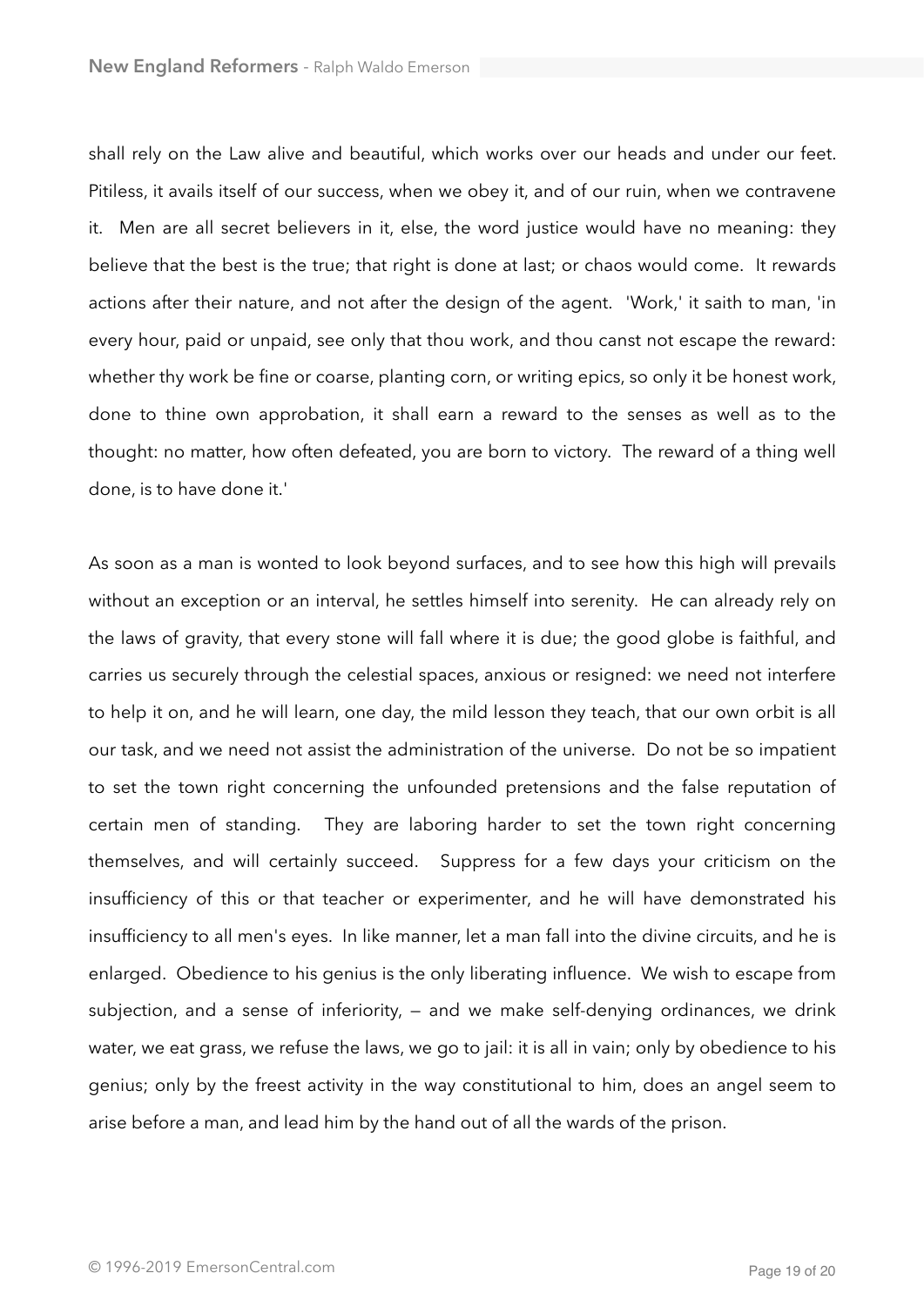shall rely on the Law alive and beautiful, which works over our heads and under our feet. Pitiless, it avails itself of our success, when we obey it, and of our ruin, when we contravene it. Men are all secret believers in it, else, the word justice would have no meaning: they believe that the best is the true; that right is done at last; or chaos would come. It rewards actions after their nature, and not after the design of the agent. 'Work,' it saith to man, 'in every hour, paid or unpaid, see only that thou work, and thou canst not escape the reward: whether thy work be fine or coarse, planting corn, or writing epics, so only it be honest work, done to thine own approbation, it shall earn a reward to the senses as well as to the thought: no matter, how often defeated, you are born to victory. The reward of a thing well done, is to have done it.'

As soon as a man is wonted to look beyond surfaces, and to see how this high will prevails without an exception or an interval, he settles himself into serenity. He can already rely on the laws of gravity, that every stone will fall where it is due; the good globe is faithful, and carries us securely through the celestial spaces, anxious or resigned: we need not interfere to help it on, and he will learn, one day, the mild lesson they teach, that our own orbit is all our task, and we need not assist the administration of the universe. Do not be so impatient to set the town right concerning the unfounded pretensions and the false reputation of certain men of standing. They are laboring harder to set the town right concerning themselves, and will certainly succeed. Suppress for a few days your criticism on the insufficiency of this or that teacher or experimenter, and he will have demonstrated his insufficiency to all men's eyes. In like manner, let a man fall into the divine circuits, and he is enlarged. Obedience to his genius is the only liberating influence. We wish to escape from subjection, and a sense of inferiority, — and we make self-denying ordinances, we drink water, we eat grass, we refuse the laws, we go to jail: it is all in vain; only by obedience to his genius; only by the freest activity in the way constitutional to him, does an angel seem to arise before a man, and lead him by the hand out of all the wards of the prison.